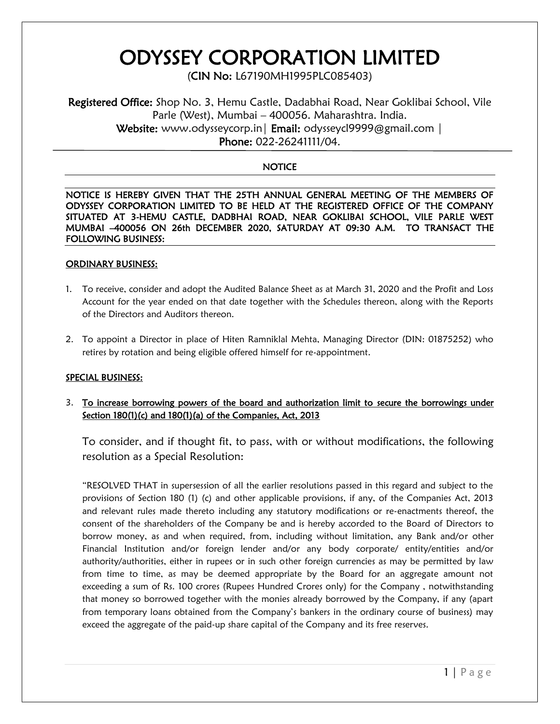# ODYSSEY CORPORATION LIMITED

(CIN No: L67190MH1995PLC085403)

Registered Office: Shop No. 3, Hemu Castle, Dadabhai Road, Near Goklibai School, Vile Parle (West), Mumbai – 400056. Maharashtra. India. Website: www.odysseycorp.in | Email: odysseycl9999@gmail.com | Phone: 022-26241111/04.

## **NOTICE**

NOTICE IS HEREBY GIVEN THAT THE 25TH ANNUAL GENERAL MEETING OF THE MEMBERS OF ODYSSEY CORPORATION LIMITED TO BE HELD AT THE REGISTERED OFFICE OF THE COMPANY SITUATED AT 3-HEMU CASTLE, DADBHAI ROAD, NEAR GOKLIBAI SCHOOL, VILE PARLE WEST MUMBAI –400056 ON 26th DECEMBER 2020, SATURDAY AT 09:30 A.M. TO TRANSACT THE FOLLOWING BUSINESS:

#### ORDINARY BUSINESS:

- 1. To receive, consider and adopt the Audited Balance Sheet as at March 31, 2020 and the Profit and Loss Account for the year ended on that date together with the Schedules thereon, along with the Reports of the Directors and Auditors thereon.
- 2. To appoint a Director in place of Hiten Ramniklal Mehta, Managing Director (DIN: 01875252) who retires by rotation and being eligible offered himself for re-appointment.

## SPECIAL BUSINESS:

3. To increase borrowing powers of the board and authorization limit to secure the borrowings under Section 180(1)(c) and 180(1)(a) of the Companies, Act, 2013

To consider, and if thought fit, to pass, with or without modifications, the following resolution as a Special Resolution:

"RESOLVED THAT in supersession of all the earlier resolutions passed in this regard and subject to the provisions of Section 180 (1) (c) and other applicable provisions, if any, of the Companies Act, 2013 and relevant rules made thereto including any statutory modifications or re-enactments thereof, the consent of the shareholders of the Company be and is hereby accorded to the Board of Directors to borrow money, as and when required, from, including without limitation, any Bank and/or other Financial Institution and/or foreign lender and/or any body corporate/ entity/entities and/or authority/authorities, either in rupees or in such other foreign currencies as may be permitted by law from time to time, as may be deemed appropriate by the Board for an aggregate amount not exceeding a sum of Rs. 100 crores (Rupees Hundred Crores only) for the Company , notwithstanding that money so borrowed together with the monies already borrowed by the Company, if any (apart from temporary loans obtained from the Company's bankers in the ordinary course of business) may exceed the aggregate of the paid-up share capital of the Company and its free reserves.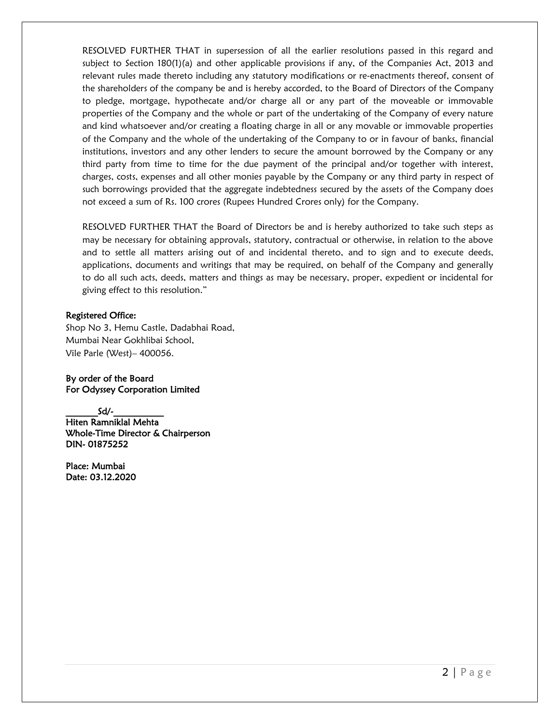RESOLVED FURTHER THAT in supersession of all the earlier resolutions passed in this regard and subject to Section 180(1)(a) and other applicable provisions if any, of the Companies Act, 2013 and relevant rules made thereto including any statutory modifications or re-enactments thereof, consent of the shareholders of the company be and is hereby accorded, to the Board of Directors of the Company to pledge, mortgage, hypothecate and/or charge all or any part of the moveable or immovable properties of the Company and the whole or part of the undertaking of the Company of every nature and kind whatsoever and/or creating a floating charge in all or any movable or immovable properties of the Company and the whole of the undertaking of the Company to or in favour of banks, financial institutions, investors and any other lenders to secure the amount borrowed by the Company or any third party from time to time for the due payment of the principal and/or together with interest, charges, costs, expenses and all other monies payable by the Company or any third party in respect of such borrowings provided that the aggregate indebtedness secured by the assets of the Company does not exceed a sum of Rs. 100 crores (Rupees Hundred Crores only) for the Company.

RESOLVED FURTHER THAT the Board of Directors be and is hereby authorized to take such steps as may be necessary for obtaining approvals, statutory, contractual or otherwise, in relation to the above and to settle all matters arising out of and incidental thereto, and to sign and to execute deeds, applications, documents and writings that may be required, on behalf of the Company and generally to do all such acts, deeds, matters and things as may be necessary, proper, expedient or incidental for giving effect to this resolution."

#### Registered Office:

Shop No 3, Hemu Castle, Dadabhai Road, Mumbai Near Gokhlibai School, Vile Parle (West)– 400056.

By order of the Board For Odyssey Corporation Limited

 $Sd/-$ Hiten Ramniklal Mehta Whole-Time Director & Chairperson DIN- 01875252

Place: Mumbai Date: 03.12.2020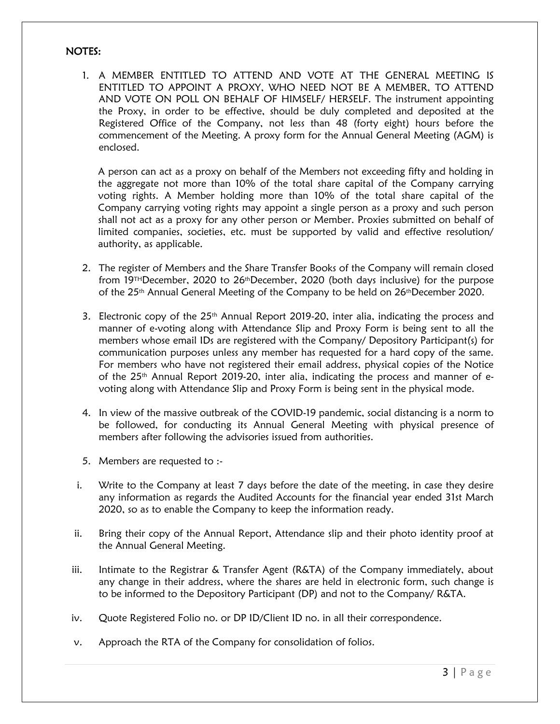#### NOTES:

1. A MEMBER ENTITLED TO ATTEND AND VOTE AT THE GENERAL MEETING IS ENTITLED TO APPOINT A PROXY, WHO NEED NOT BE A MEMBER, TO ATTEND AND VOTE ON POLL ON BEHALF OF HIMSELF/ HERSELF. The instrument appointing the Proxy, in order to be effective, should be duly completed and deposited at the Registered Office of the Company, not less than 48 (forty eight) hours before the commencement of the Meeting. A proxy form for the Annual General Meeting (AGM) is enclosed.

A person can act as a proxy on behalf of the Members not exceeding fifty and holding in the aggregate not more than 10% of the total share capital of the Company carrying voting rights. A Member holding more than 10% of the total share capital of the Company carrying voting rights may appoint a single person as a proxy and such person shall not act as a proxy for any other person or Member. Proxies submitted on behalf of limited companies, societies, etc. must be supported by valid and effective resolution/ authority, as applicable.

- 2. The register of Members and the Share Transfer Books of the Company will remain closed from 19<sup>TH</sup>December, 2020 to 26<sup>th</sup>December, 2020 (both days inclusive) for the purpose of the  $25<sup>th</sup>$  Annual General Meeting of the Company to be held on  $26<sup>th</sup>$ December 2020.
- 3. Electronic copy of the 25<sup>th</sup> Annual Report 2019-20, inter alia, indicating the process and manner of e-voting along with Attendance Slip and Proxy Form is being sent to all the members whose email IDs are registered with the Company/ Depository Participant(s) for communication purposes unless any member has requested for a hard copy of the same. For members who have not registered their email address, physical copies of the Notice of the 25<sup>th</sup> Annual Report 2019-20, inter alia, indicating the process and manner of evoting along with Attendance Slip and Proxy Form is being sent in the physical mode.
- 4. In view of the massive outbreak of the COVID-19 pandemic, social distancing is a norm to be followed, for conducting its Annual General Meeting with physical presence of members after following the advisories issued from authorities.
- 5. Members are requested to :-
- i. Write to the Company at least 7 days before the date of the meeting, in case they desire any information as regards the Audited Accounts for the financial year ended 31st March 2020, so as to enable the Company to keep the information ready.
- ii. Bring their copy of the Annual Report, Attendance slip and their photo identity proof at the Annual General Meeting.
- iii. Intimate to the Registrar & Transfer Agent (R&TA) of the Company immediately, about any change in their address, where the shares are held in electronic form, such change is to be informed to the Depository Participant (DP) and not to the Company/ R&TA.
- iv. Quote Registered Folio no. or DP ID/Client ID no. in all their correspondence.
- v. Approach the RTA of the Company for consolidation of folios.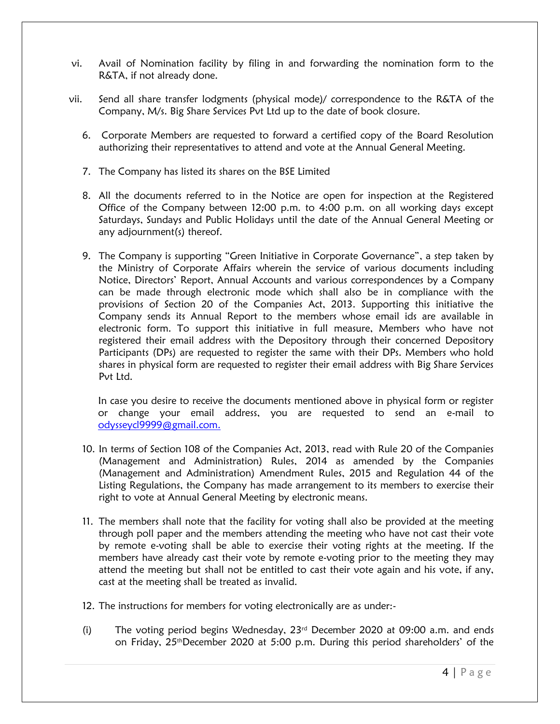- vi. Avail of Nomination facility by filing in and forwarding the nomination form to the R&TA, if not already done.
- vii. Send all share transfer lodgments (physical mode)/ correspondence to the R&TA of the Company, M/s. Big Share Services Pvt Ltd up to the date of book closure.
	- 6. Corporate Members are requested to forward a certified copy of the Board Resolution authorizing their representatives to attend and vote at the Annual General Meeting.
	- 7. The Company has listed its shares on the BSE Limited
	- 8. All the documents referred to in the Notice are open for inspection at the Registered Office of the Company between 12:00 p.m. to 4:00 p.m. on all working days except Saturdays, Sundays and Public Holidays until the date of the Annual General Meeting or any adjournment(s) thereof.
	- 9. The Company is supporting "Green Initiative in Corporate Governance", a step taken by the Ministry of Corporate Affairs wherein the service of various documents including Notice, Directors' Report, Annual Accounts and various correspondences by a Company can be made through electronic mode which shall also be in compliance with the provisions of Section 20 of the Companies Act, 2013. Supporting this initiative the Company sends its Annual Report to the members whose email ids are available in electronic form. To support this initiative in full measure, Members who have not registered their email address with the Depository through their concerned Depository Participants (DPs) are requested to register the same with their DPs. Members who hold shares in physical form are requested to register their email address with Big Share Services Pvt Ltd.

In case you desire to receive the documents mentioned above in physical form or register or change your email address, you are requested to send an e-mail to [odysseycl9999@gmail.com.](mailto:odysseycl9999@gmail.com)

- 10. In terms of Section 108 of the Companies Act, 2013, read with Rule 20 of the Companies (Management and Administration) Rules, 2014 as amended by the Companies (Management and Administration) Amendment Rules, 2015 and Regulation 44 of the Listing Regulations, the Company has made arrangement to its members to exercise their right to vote at Annual General Meeting by electronic means.
- 11. The members shall note that the facility for voting shall also be provided at the meeting through poll paper and the members attending the meeting who have not cast their vote by remote e-voting shall be able to exercise their voting rights at the meeting. If the members have already cast their vote by remote e-voting prior to the meeting they may attend the meeting but shall not be entitled to cast their vote again and his vote, if any, cast at the meeting shall be treated as invalid.
- 12. The instructions for members for voting electronically are as under:-
- (i) The voting period begins Wednesday,  $23<sup>rd</sup>$  December 2020 at 09:00 a.m. and ends on Friday, 25thDecember 2020 at 5:00 p.m. During this period shareholders' of the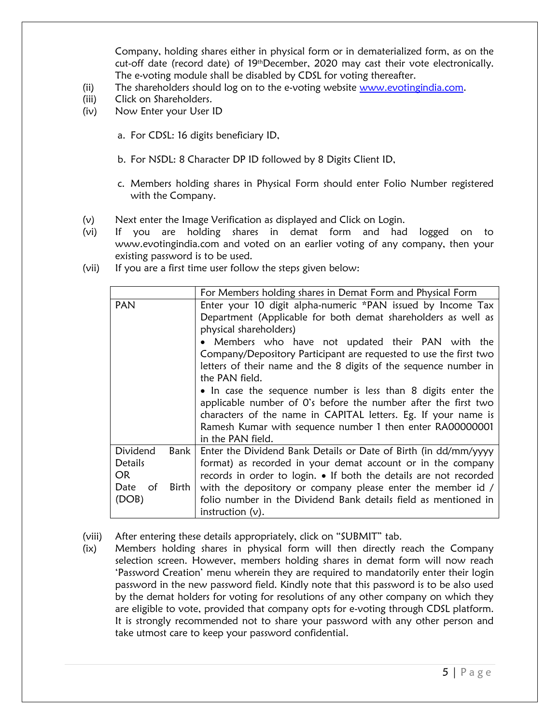Company, holding shares either in physical form or in dematerialized form, as on the cut-off date (record date) of 19<sup>th</sup>December, 2020 may cast their vote electronically. The e-voting module shall be disabled by CDSL for voting thereafter.

- (ii) The shareholders should log on to the e-voting website [www.evotingindia.com.](http://www.evotingindia.com/)
- (iii) Click on Shareholders.
- (iv) Now Enter your User ID
	- a. For CDSL: 16 digits beneficiary ID,
	- b. For NSDL: 8 Character DP ID followed by 8 Digits Client ID,
	- c. Members holding shares in Physical Form should enter Folio Number registered with the Company.
- (v) Next enter the Image Verification as displayed and Click on Login.
- (vi) If you are holding shares in demat form and had logged on to www.evotingindia.com and voted on an earlier voting of any company, then your existing password is to be used.
- (vii) If you are a first time user follow the steps given below:

| For Members holding shares in Demat Form and Physical Form                    |                     |                                                                                                                                                                                                                                                                                                                                                                                                                                                                                                                                                                                                                                                               |  |  |
|-------------------------------------------------------------------------------|---------------------|---------------------------------------------------------------------------------------------------------------------------------------------------------------------------------------------------------------------------------------------------------------------------------------------------------------------------------------------------------------------------------------------------------------------------------------------------------------------------------------------------------------------------------------------------------------------------------------------------------------------------------------------------------------|--|--|
| PAN                                                                           |                     | Enter your 10 digit alpha-numeric *PAN issued by Income Tax<br>Department (Applicable for both demat shareholders as well as<br>physical shareholders)<br>• Members who have not updated their PAN with the<br>Company/Depository Participant are requested to use the first two<br>letters of their name and the 8 digits of the sequence number in<br>the PAN field.<br>• In case the sequence number is less than 8 digits enter the<br>applicable number of O's before the number after the first two<br>characters of the name in CAPITAL letters. Eg. If your name is<br>Ramesh Kumar with sequence number 1 then enter RA00000001<br>in the PAN field. |  |  |
| Dividend<br>Bank  <br><b>Details</b><br>OR.<br>Date<br>Birth<br>of .<br>(DOB) |                     | Enter the Dividend Bank Details or Date of Birth (in dd/mm/yyyy<br>format) as recorded in your demat account or in the company<br>records in order to login. • If both the details are not recorded<br>with the depository or company please enter the member id /<br>folio number in the Dividend Bank details field as mentioned in                                                                                                                                                                                                                                                                                                                         |  |  |
|                                                                               | instruction $(v)$ . |                                                                                                                                                                                                                                                                                                                                                                                                                                                                                                                                                                                                                                                               |  |  |

- (viii) After entering these details appropriately, click on "SUBMIT" tab.
- (ix) Members holding shares in physical form will then directly reach the Company selection screen. However, members holding shares in demat form will now reach 'Password Creation' menu wherein they are required to mandatorily enter their login password in the new password field. Kindly note that this password is to be also used by the demat holders for voting for resolutions of any other company on which they are eligible to vote, provided that company opts for e-voting through CDSL platform. It is strongly recommended not to share your password with any other person and take utmost care to keep your password confidential.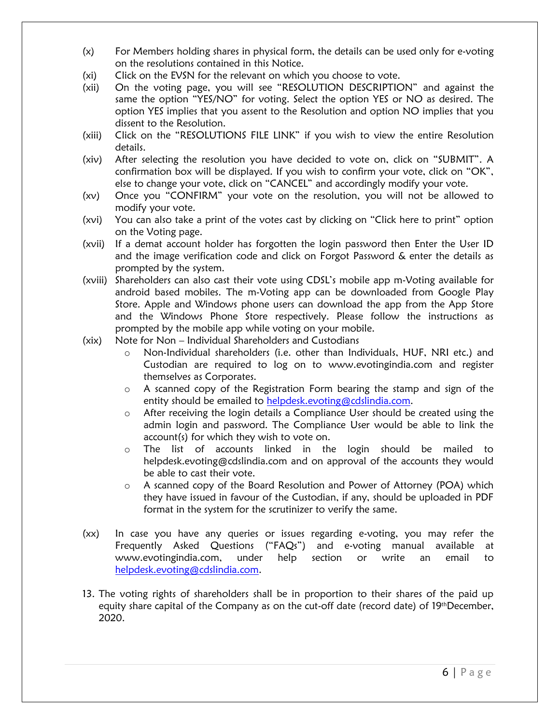- (x) For Members holding shares in physical form, the details can be used only for e-voting on the resolutions contained in this Notice.
- (xi) Click on the EVSN for the relevant on which you choose to vote.
- (xii) On the voting page, you will see "RESOLUTION DESCRIPTION" and against the same the option "YES/NO" for voting. Select the option YES or NO as desired. The option YES implies that you assent to the Resolution and option NO implies that you dissent to the Resolution.
- (xiii) Click on the "RESOLUTIONS FILE LINK" if you wish to view the entire Resolution details.
- (xiv) After selecting the resolution you have decided to vote on, click on "SUBMIT". A confirmation box will be displayed. If you wish to confirm your vote, click on "OK", else to change your vote, click on "CANCEL" and accordingly modify your vote.
- (xv) Once you "CONFIRM" your vote on the resolution, you will not be allowed to modify your vote.
- (xvi) You can also take a print of the votes cast by clicking on "Click here to print" option on the Voting page.
- (xvii) If a demat account holder has forgotten the login password then Enter the User ID and the image verification code and click on Forgot Password & enter the details as prompted by the system.
- (xviii) Shareholders can also cast their vote using CDSL's mobile app m-Voting available for android based mobiles. The m-Voting app can be downloaded from Google Play Store. Apple and Windows phone users can download the app from the App Store and the Windows Phone Store respectively. Please follow the instructions as prompted by the mobile app while voting on your mobile.
- (xix) Note for Non Individual Shareholders and Custodians
	- o Non-Individual shareholders (i.e. other than Individuals, HUF, NRI etc.) and Custodian are required to log on to www.evotingindia.com and register themselves as Corporates.
	- $\circ$  A scanned copy of the Registration Form bearing the stamp and sign of the entity should be emailed to [helpdesk.evoting@cdslindia.com.](mailto:helpdesk.evoting@cdslindia.com)
	- o After receiving the login details a Compliance User should be created using the admin login and password. The Compliance User would be able to link the account(s) for which they wish to vote on.
	- o The list of accounts linked in the login should be mailed to helpdesk.evoting@cdslindia.com and on approval of the accounts they would be able to cast their vote.
	- o A scanned copy of the Board Resolution and Power of Attorney (POA) which they have issued in favour of the Custodian, if any, should be uploaded in PDF format in the system for the scrutinizer to verify the same.
- (xx) In case you have any queries or issues regarding e-voting, you may refer the Frequently Asked Questions ("FAQs") and e-voting manual available at www.evotingindia.com, under help section or write an email to [helpdesk.evoting@cdslindia.com.](mailto:helpdesk.evoting@cdslindia.com)
- 13. The voting rights of shareholders shall be in proportion to their shares of the paid up equity share capital of the Company as on the cut-off date (record date) of 19<sup>th</sup>December, 2020.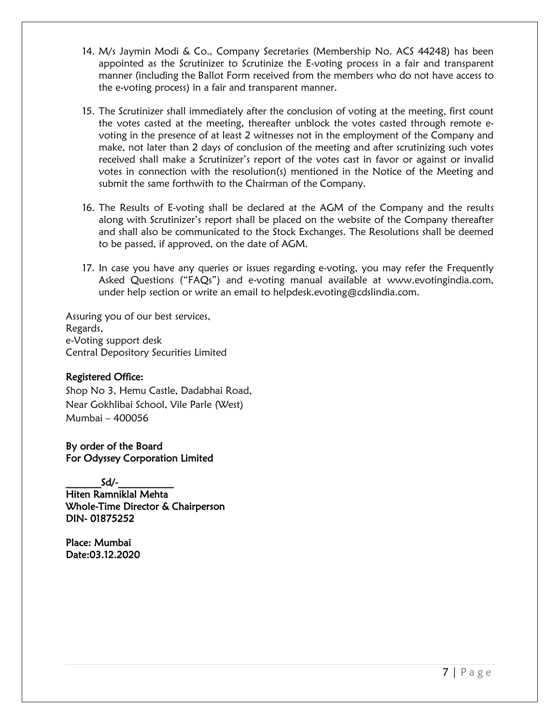- 14. M/s Jaymin Modi & Co., Company Secretaries (Membership No. ACS 44248) has been appointed as the Scrutinizer to Scrutinize the E-voting process in a fair and transparent manner (including the Ballot Form received from the members who do not have access to the e-voting process) in a fair and transparent manner.
- 15. The Scrutinizer shall immediately after the conclusion of voting at the meeting, first count the votes casted at the meeting, thereafter unblock the votes casted through remote evoting in the presence of at least 2 witnesses not in the employment of the Company and make, not later than 2 days of conclusion of the meeting and after scrutinizing such votes received shall make a Scrutinizer's report of the votes cast in favor or against or invalid votes in connection with the resolution(s) mentioned in the Notice of the Meeting and submit the same forthwith to the Chairman of the Company.
- 16. The Results of E-voting shall be declared at the AGM of the Company and the results along with Scrutinizer's report shall be placed on the website of the Company thereafter and shall also be communicated to the Stock Exchanges. The Resolutions shall be deemed to be passed, if approved, on the date of AGM.
- 17. In case you have any queries or issues regarding e-voting, you may refer the Frequently Asked Questions ("FAQs") and e-voting manual available at www.evotingindia.com, under help section or write an email to helpdesk.evoting@cdslindia.com.

Assuring you of our best services, Regards, e-Voting support desk Central Depository Securities Limited

## Registered Office:

Shop No 3, Hemu Castle, Dadabhai Road, Near Gokhlibai School, Vile Parle (West) Mumbai – 400056

By order of the Board For Odyssey Corporation Limited

 $Sd/-$ 

Hiten Ramniklal Mehta Whole-Time Director & Chairperson DIN- 01875252

Place: Mumbai Date:03.12.2020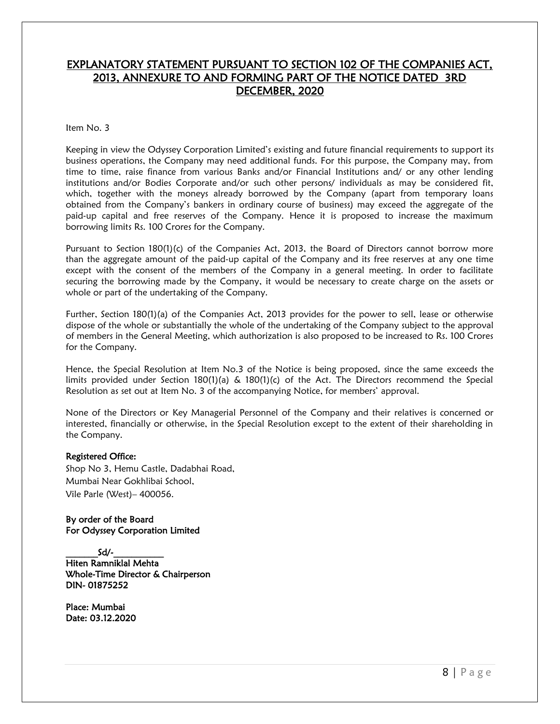# EXPLANATORY STATEMENT PURSUANT TO SECTION 102 OF THE COMPANIES ACT, 2013, ANNEXURE TO AND FORMING PART OF THE NOTICE DATED 3RD DECEMBER, 2020

#### Item No. 3

Keeping in view the Odyssey Corporation Limited's existing and future financial requirements to support its business operations, the Company may need additional funds. For this purpose, the Company may, from time to time, raise finance from various Banks and/or Financial Institutions and/ or any other lending institutions and/or Bodies Corporate and/or such other persons/ individuals as may be considered fit, which, together with the moneys already borrowed by the Company (apart from temporary loans obtained from the Company's bankers in ordinary course of business) may exceed the aggregate of the paid-up capital and free reserves of the Company. Hence it is proposed to increase the maximum borrowing limits Rs. 100 Crores for the Company.

Pursuant to Section 180(1)(c) of the Companies Act, 2013, the Board of Directors cannot borrow more than the aggregate amount of the paid‐up capital of the Company and its free reserves at any one time except with the consent of the members of the Company in a general meeting. In order to facilitate securing the borrowing made by the Company, it would be necessary to create charge on the assets or whole or part of the undertaking of the Company.

Further, Section 180(1)(a) of the Companies Act, 2013 provides for the power to sell, lease or otherwise dispose of the whole or substantially the whole of the undertaking of the Company subject to the approval of members in the General Meeting, which authorization is also proposed to be increased to Rs. 100 Crores for the Company.

Hence, the Special Resolution at Item No.3 of the Notice is being proposed, since the same exceeds the limits provided under Section 180(1)(a) & 180(1)(c) of the Act. The Directors recommend the Special Resolution as set out at Item No. 3 of the accompanying Notice, for members' approval.

None of the Directors or Key Managerial Personnel of the Company and their relatives is concerned or interested, financially or otherwise, in the Special Resolution except to the extent of their shareholding in the Company.

#### Registered Office:

Shop No 3, Hemu Castle, Dadabhai Road, Mumbai Near Gokhlibai School, Vile Parle (West)– 400056.

By order of the Board For Odyssey Corporation Limited

 $Sd/-$ Hiten Ramniklal Mehta Whole-Time Director & Chairperson DIN- 01875252

Place: Mumbai Date: 03.12.2020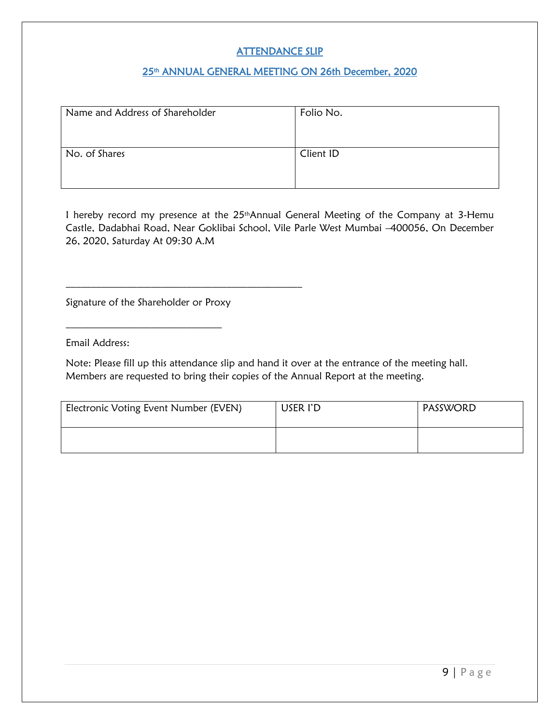# ATTENDANCE SLIP

## 25<sup>th</sup> ANNUAL GENERAL MEETING ON 26th December, 2020

| Name and Address of Shareholder | Folio No. |
|---------------------------------|-----------|
| No. of Shares                   | Client ID |

I hereby record my presence at the 25thAnnual General Meeting of the Company at 3-Hemu Castle, Dadabhai Road, Near Goklibai School, Vile Parle West Mumbai –400056, On December 26, 2020, Saturday At 09:30 A.M

Signature of the Shareholder or Proxy

 $\mathcal{L}_\text{max}$ 

 $\overline{\phantom{a}}$  , and the set of the set of the set of the set of the set of the set of the set of the set of the set of the set of the set of the set of the set of the set of the set of the set of the set of the set of the s

Email Address:

Note: Please fill up this attendance slip and hand it over at the entrance of the meeting hall. Members are requested to bring their copies of the Annual Report at the meeting.

| Electronic Voting Event Number (EVEN) | USER I'D | PASSWORD |
|---------------------------------------|----------|----------|
|                                       |          |          |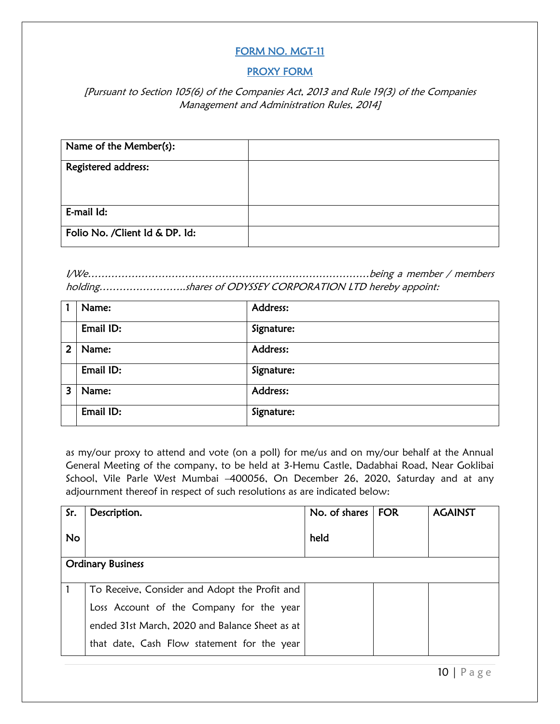# FORM NO. MGT-11

## PROXY FORM

## [Pursuant to Section 105(6) of the Companies Act, 2013 and Rule 19(3) of the Companies Management and Administration Rules, 2014]

| Name of the Member(s):          |  |
|---------------------------------|--|
| Registered address:             |  |
|                                 |  |
| E-mail Id:                      |  |
| Folio No. / Client Id & DP. Id: |  |

I/We…………………………………………………………………………being a member / members holding……………………..shares of ODYSSEY CORPORATION LTD hereby appoint:

|                | Name:     | Address:   |
|----------------|-----------|------------|
|                | Email ID: | Signature: |
| $\overline{2}$ | Name:     | Address:   |
|                | Email ID: | Signature: |
| 3              | Name:     | Address:   |
|                | Email ID: | Signature: |

as my/our proxy to attend and vote (on a poll) for me/us and on my/our behalf at the Annual General Meeting of the company, to be held at 3-Hemu Castle, Dadabhai Road, Near Goklibai School, Vile Parle West Mumbai –400056, On December 26, 2020, Saturday and at any adjournment thereof in respect of such resolutions as are indicated below:

| Sr.       | Description.                                   | No. of shares | <b>FOR</b> | <b>AGAINST</b> |
|-----------|------------------------------------------------|---------------|------------|----------------|
| <b>No</b> |                                                | held          |            |                |
|           | <b>Ordinary Business</b>                       |               |            |                |
|           |                                                |               |            |                |
|           | To Receive, Consider and Adopt the Profit and  |               |            |                |
|           | Loss Account of the Company for the year       |               |            |                |
|           | ended 31st March, 2020 and Balance Sheet as at |               |            |                |
|           | that date, Cash Flow statement for the year    |               |            |                |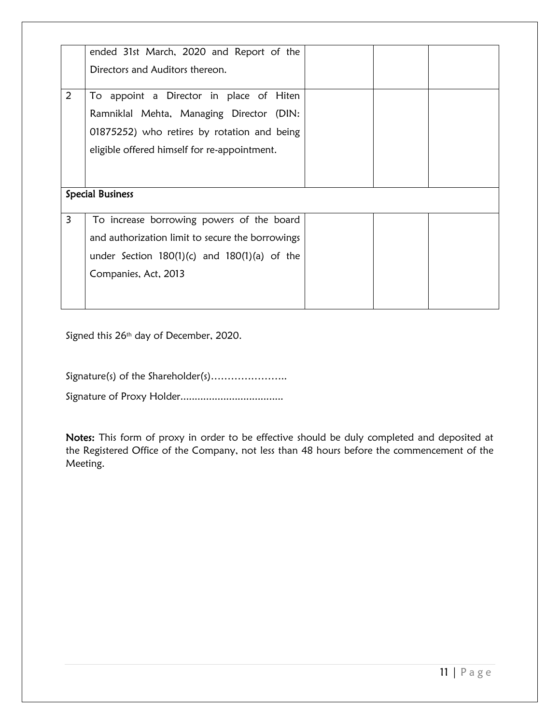|                | ended 31st March, 2020 and Report of the         |  |
|----------------|--------------------------------------------------|--|
|                | Directors and Auditors thereon.                  |  |
| $\overline{2}$ | To appoint a Director in place of Hiten          |  |
|                | Ramniklal Mehta, Managing Director (DIN:         |  |
|                | 01875252) who retires by rotation and being      |  |
|                | eligible offered himself for re-appointment.     |  |
|                |                                                  |  |
|                | <b>Special Business</b>                          |  |
|                |                                                  |  |
|                |                                                  |  |
| 3              | To increase borrowing powers of the board        |  |
|                | and authorization limit to secure the borrowings |  |
|                | under Section $180(1)(c)$ and $180(1)(a)$ of the |  |
|                | Companies, Act, 2013                             |  |
|                |                                                  |  |

Signed this 26<sup>th</sup> day of December, 2020.

Signature(s) of the Shareholder(s).......................

Signature of Proxy Holder....................................

Notes: This form of proxy in order to be effective should be duly completed and deposited at the Registered Office of the Company, not less than 48 hours before the commencement of the Meeting.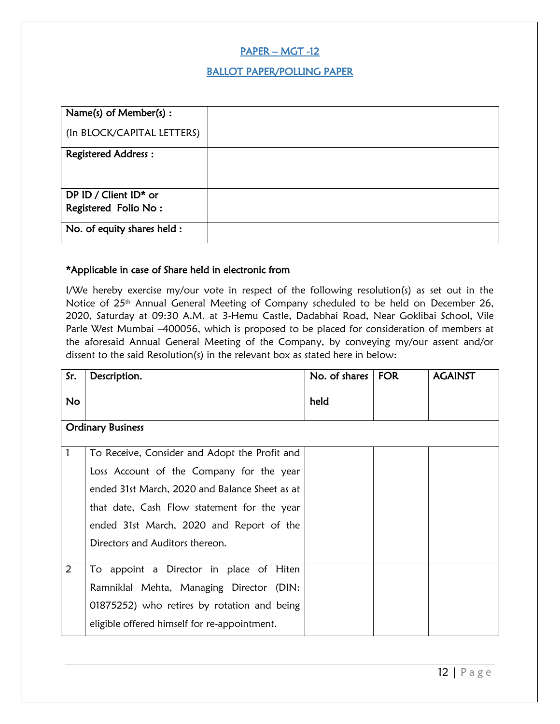## PAPER – MGT -12

## BALLOT PAPER/POLLING PAPER

| Name(s) of Member(s) :      |  |
|-----------------------------|--|
| (In BLOCK/CAPITAL LETTERS)  |  |
| <b>Registered Address:</b>  |  |
|                             |  |
| DP ID / Client ID* or       |  |
| Registered Folio No:        |  |
| No. of equity shares held : |  |

#### \*Applicable in case of Share held in electronic from

I/We hereby exercise my/our vote in respect of the following resolution(s) as set out in the Notice of 25<sup>th</sup> Annual General Meeting of Company scheduled to be held on December 26, 2020, Saturday at 09:30 A.M. at 3-Hemu Castle, Dadabhai Road, Near Goklibai School, Vile Parle West Mumbai –400056, which is proposed to be placed for consideration of members at the aforesaid Annual General Meeting of the Company, by conveying my/our assent and/or dissent to the said Resolution(s) in the relevant box as stated here in below:

| Sr.       | Description.                                   | No. of shares $ $ FOR | <b>AGAINST</b> |
|-----------|------------------------------------------------|-----------------------|----------------|
| <b>No</b> |                                                | held                  |                |
|           | <b>Ordinary Business</b>                       |                       |                |
| 1         | To Receive, Consider and Adopt the Profit and  |                       |                |
|           | Loss Account of the Company for the year       |                       |                |
|           | ended 31st March, 2020 and Balance Sheet as at |                       |                |
|           | that date, Cash Flow statement for the year    |                       |                |
|           | ended 31st March, 2020 and Report of the       |                       |                |
|           | Directors and Auditors thereon.                |                       |                |
| 2         | To appoint a Director in place of Hiten        |                       |                |
|           | Ramniklal Mehta, Managing Director (DIN:       |                       |                |
|           | 01875252) who retires by rotation and being    |                       |                |
|           | eligible offered himself for re-appointment.   |                       |                |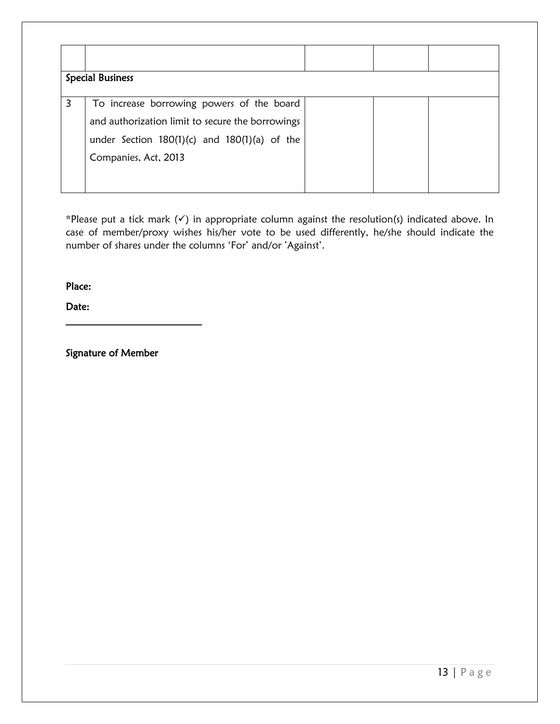|   | <b>Special Business</b>                                                                                                                                                   |  |  |
|---|---------------------------------------------------------------------------------------------------------------------------------------------------------------------------|--|--|
| 3 | To increase borrowing powers of the board<br>and authorization limit to secure the borrowings<br>under Section $180(1)(c)$ and $180(1)(a)$ of the<br>Companies, Act, 2013 |  |  |

\*Please put a tick mark (✓) in appropriate column against the resolution(s) indicated above. In case of member/proxy wishes his/her vote to be used differently, he/she should indicate the number of shares under the columns 'For' and/or 'Against'.

Place:

Date:

Signature of Member

 $\mathcal{L}_\text{max}$  , where  $\mathcal{L}_\text{max}$  and  $\mathcal{L}_\text{max}$